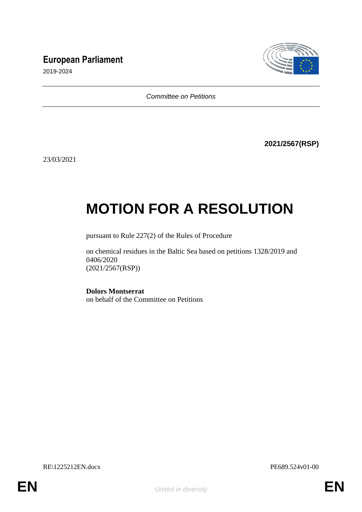## **European Parliament**



2019-2024

*Committee on Petitions*

**2021/2567(RSP)**

23/03/2021

## **MOTION FOR A RESOLUTION**

pursuant to Rule 227(2) of the Rules of Procedure

on chemical residues in the Baltic Sea based on petitions 1328/2019 and 0406/2020 (2021/2567(RSP))

**Dolors Montserrat** on behalf of the Committee on Petitions

RE\1225212EN.docx PE689.524v01-00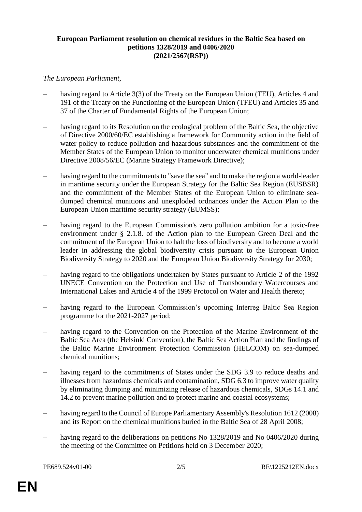## **European Parliament resolution on chemical residues in the Baltic Sea based on petitions 1328/2019 and 0406/2020 (2021/2567(RSP))**

## *The European Parliament*,

- having regard to Article 3(3) of the Treaty on the European Union (TEU), Articles 4 and 191 of the Treaty on the Functioning of the European Union (TFEU) and Articles 35 and 37 of the Charter of Fundamental Rights of the European Union;
- having regard to its Resolution on the ecological problem of the Baltic Sea, the objective of Directive 2000/60/EC establishing a framework for Community action in the field of water policy to reduce pollution and hazardous substances and the commitment of the Member States of the European Union to monitor underwater chemical munitions under Directive 2008/56/EC (Marine Strategy Framework Directive);
- having regard to the commitments to "save the sea" and to make the region a world-leader in maritime security under the European Strategy for the Baltic Sea Region (EUSBSR) and the commitment of the Member States of the European Union to eliminate seadumped chemical munitions and unexploded ordnances under the Action Plan to the European Union maritime security strategy (EUMSS);
- having regard to the European Commission's zero pollution ambition for a toxic-free environment under § 2.1.8. of the Action plan to the European Green Deal and the commitment of the European Union to halt the loss of biodiversity and to become a world leader in addressing the global biodiversity crisis pursuant to the European Union Biodiversity Strategy to 2020 and the European Union Biodiversity Strategy for 2030;
- having regard to the obligations undertaken by States pursuant to Article 2 of the 1992 UNECE Convention on the Protection and Use of Transboundary Watercourses and International Lakes and Article 4 of the 1999 Protocol on Water and Health thereto;
- having regard to the European Commission's upcoming Interreg Baltic Sea Region programme for the 2021-2027 period;
- having regard to the Convention on the Protection of the Marine Environment of the Baltic Sea Area (the Helsinki Convention), the Baltic Sea Action Plan and the findings of the Baltic Marine Environment Protection Commission (HELCOM) on sea-dumped chemical munitions;
- having regard to the commitments of States under the SDG 3.9 to reduce deaths and illnesses from hazardous chemicals and contamination, SDG 6.3 to improve water quality by eliminating dumping and minimizing release of hazardous chemicals, SDGs 14.1 and 14.2 to prevent marine pollution and to protect marine and coastal ecosystems;
- having regard to the Council of Europe Parliamentary Assembly's Resolution 1612 (2008) and its Report on the chemical munitions buried in the Baltic Sea of 28 April 2008;
- having regard to the deliberations on petitions No 1328/2019 and No 0406/2020 during the meeting of the Committee on Petitions held on 3 December 2020;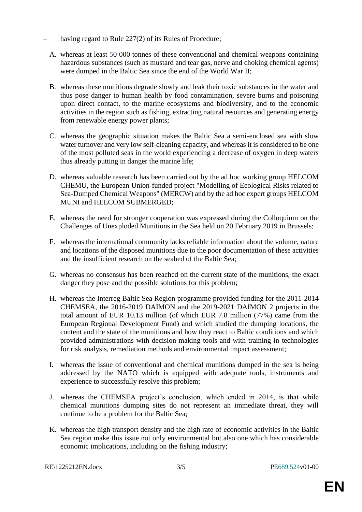- having regard to Rule 227(2) of its Rules of Procedure;
	- A. whereas at least 50 000 tonnes of these conventional and chemical weapons containing hazardous substances (such as mustard and tear gas, nerve and choking chemical agents) were dumped in the Baltic Sea since the end of the World War II;
	- B. whereas these munitions degrade slowly and leak their toxic substances in the water and thus pose danger to human health by food contamination, severe burns and poisoning upon direct contact, to the marine ecosystems and biodiversity, and to the economic activities in the region such as fishing, extracting natural resources and generating energy from renewable energy power plants;
	- C. whereas the geographic situation makes the Baltic Sea a semi-enclosed sea with slow water turnover and very low self-cleaning capacity, and whereas it is considered to be one of the most polluted seas in the world experiencing a decrease of oxygen in deep waters thus already putting in danger the marine life;
	- D. whereas valuable research has been carried out by the ad hoc working group HELCOM CHEMU, the European Union-funded project "Modelling of Ecological Risks related to Sea-Dumped Chemical Weapons" (MERCW) and by the ad hoc expert groups HELCOM MUNI and HELCOM SUBMERGED;
	- E. whereas the need for stronger cooperation was expressed during the Colloquium on the Challenges of Unexploded Munitions in the Sea held on 20 February 2019 in Brussels;
	- F. whereas the international community lacks reliable information about the volume, nature and locations of the disposed munitions due to the poor documentation of these activities and the insufficient research on the seabed of the Baltic Sea;
	- G. whereas no consensus has been reached on the current state of the munitions, the exact danger they pose and the possible solutions for this problem;
	- H. whereas the Interreg Baltic Sea Region programme provided funding for the 2011-2014 CHEMSEA, the 2016-2019 DAIMON and the 2019-2021 DAIMON 2 projects in the total amount of EUR 10.13 million (of which EUR 7.8 million (77%) came from the European Regional Development Fund) and which studied the dumping locations, the content and the state of the munitions and how they react to Baltic conditions and which provided administrations with decision-making tools and with training in technologies for risk analysis, remediation methods and environmental impact assessment;
	- I. whereas the issue of conventional and chemical munitions dumped in the sea is being addressed by the NATO which is equipped with adequate tools, instruments and experience to successfully resolve this problem;
	- J. whereas the CHEMSEA project's conclusion, which ended in 2014, is that while chemical munitions dumping sites do not represent an immediate threat, they will continue to be a problem for the Baltic Sea;
	- K. whereas the high transport density and the high rate of economic activities in the Baltic Sea region make this issue not only environmental but also one which has considerable economic implications, including on the fishing industry;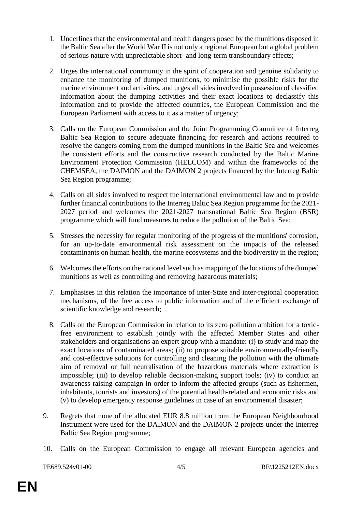- 1. Underlines that the environmental and health dangers posed by the munitions disposed in the Baltic Sea after the World War II is not only a regional European but a global problem of serious nature with unpredictable short- and long-term transboundary effects;
- 2. Urges the international community in the spirit of cooperation and genuine solidarity to enhance the monitoring of dumped munitions, to minimise the possible risks for the marine environment and activities, and urges all sides involved in possession of classified information about the dumping activities and their exact locations to declassify this information and to provide the affected countries, the European Commission and the European Parliament with access to it as a matter of urgency;
- 3. Calls on the European Commission and the Joint Programming Committee of Interreg Baltic Sea Region to secure adequate financing for research and actions required to resolve the dangers coming from the dumped munitions in the Baltic Sea and welcomes the consistent efforts and the constructive research conducted by the Baltic Marine Environment Protection Commission (HELCOM) and within the frameworks of the CHEMSEA, the DAIMON and the DAIMON 2 projects financed by the Interreg Baltic Sea Region programme;
- 4. Calls on all sides involved to respect the international environmental law and to provide further financial contributions to the Interreg Baltic Sea Region programme for the 2021- 2027 period and welcomes the 2021-2027 transnational Baltic Sea Region (BSR) programme which will fund measures to reduce the pollution of the Baltic Sea;
- 5. Stresses the necessity for regular monitoring of the progress of the munitions' corrosion, for an up-to-date environmental risk assessment on the impacts of the released contaminants on human health, the marine ecosystems and the biodiversity in the region;
- 6. Welcomes the efforts on the national level such as mapping of the locations of the dumped munitions as well as controlling and removing hazardous materials;
- 7. Emphasises in this relation the importance of inter-State and inter-regional cooperation mechanisms, of the free access to public information and of the efficient exchange of scientific knowledge and research;
- 8. Calls on the European Commission in relation to its zero pollution ambition for a toxicfree environment to establish jointly with the affected Member States and other stakeholders and organisations an expert group with a mandate: (i) to study and map the exact locations of contaminated areas; (ii) to propose suitable environmentally-friendly and cost-effective solutions for controlling and cleaning the pollution with the ultimate aim of removal or full neutralisation of the hazardous materials where extraction is impossible; (iii) to develop reliable decision-making support tools; (iv) to conduct an awareness-raising campaign in order to inform the affected groups (such as fishermen, inhabitants, tourists and investors) of the potential health-related and economic risks and (v) to develop emergency response guidelines in case of an environmental disaster;
- 9. Regrets that none of the allocated EUR 8.8 million from the European Neighbourhood Instrument were used for the DAIMON and the DAIMON 2 projects under the Interreg Baltic Sea Region programme;
- 10. Calls on the European Commission to engage all relevant European agencies and